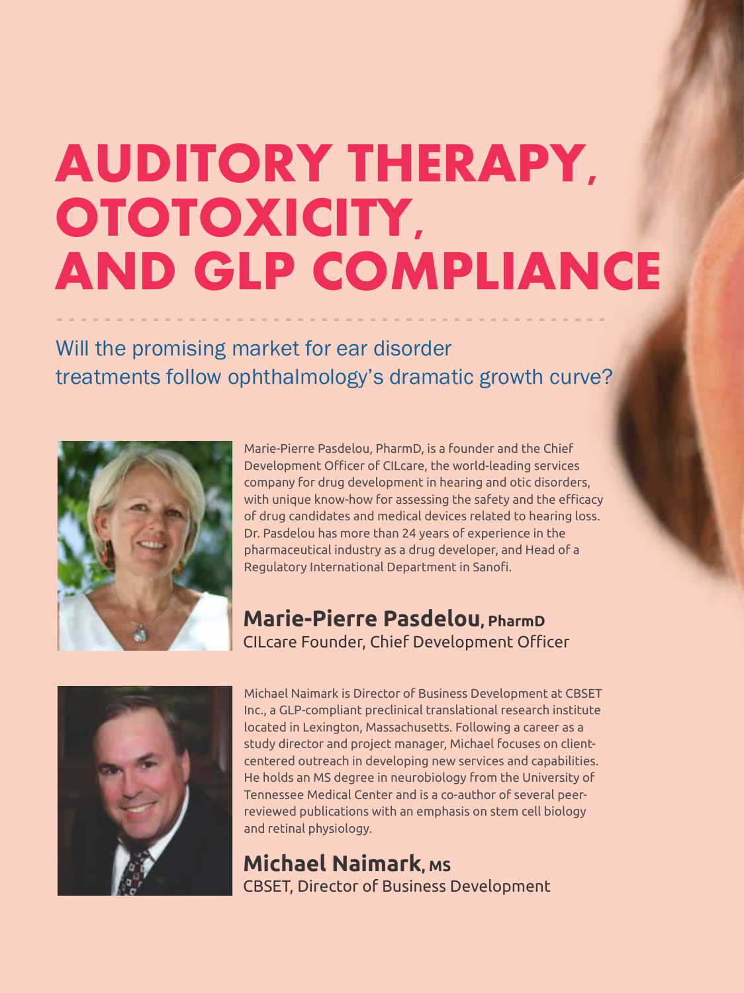# **AUDITORY THERAPY, OTOTOXICITY, AND GLP COMPLIANCE**

Will the promising market for ear disorder treatments follow ophthalmology's dramatic growth curve?



Marie-Pierre Pasdelou, PharmD, is a founder and the Chief Development Officer of CILcare, the world-leading services company for drug development in hearing and otic disorders, with unique know-how for assessing the safety and the efficacy of drug candidates and medical devices related to hearing loss. Dr. Pasdelou has more than 24 years of experience in the pharmaceutical industry as a drug developer, and Head of a Regulatory International Department in Sanofi.

# **Marie-Pierre Pasdelou, PharmD** CILcare Founder, Chief Development Officer



Michael Naimark is Director of Business Development at CBSET Inc., a GLP-compliant preclinical translational research institute located in Lexington, Massachusetts. Following a career as a study director and project manager, Michael focuses on clientcentered outreach in developing new services and capabilities. He holds an MS degree in neurobiology from the University of Tennessee Medical Center and is a co-author of several peerreviewed publications with an emphasis on stem cell biology and retinal physiology.

**Michael Naimark, MS** CBSET, Director of Business Development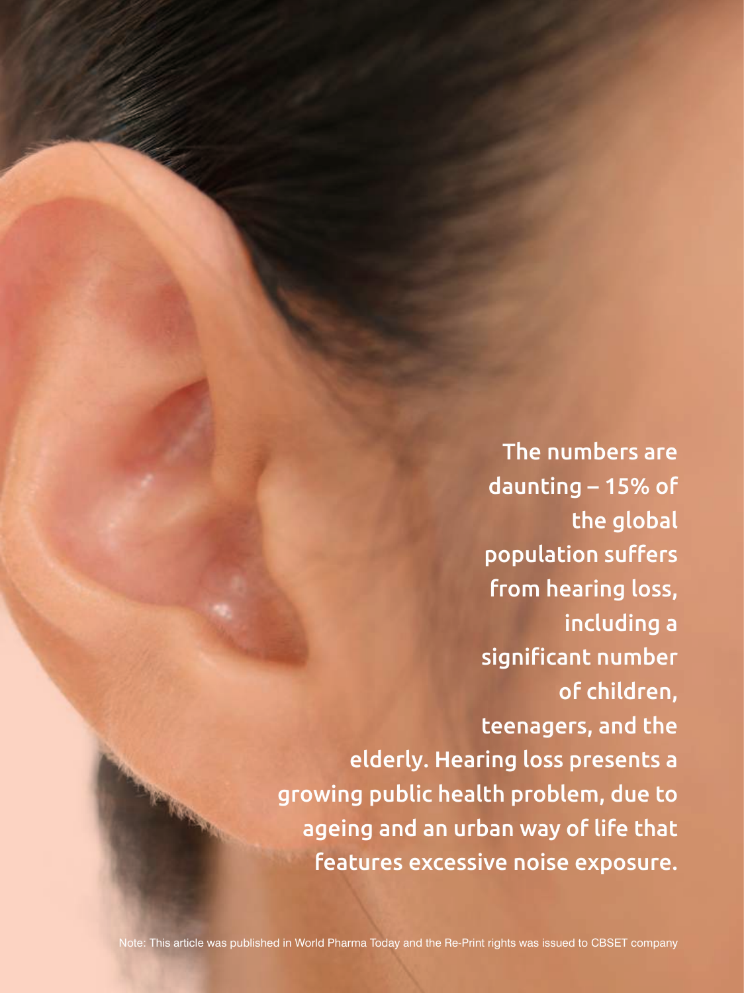The numbers are daunting – 15% of the global population suffers from hearing loss, including a significant number of children, teenagers, and the elderly. Hearing loss presents a growing public health problem, due to ageing and an urban way of life that features excessive noise exposure.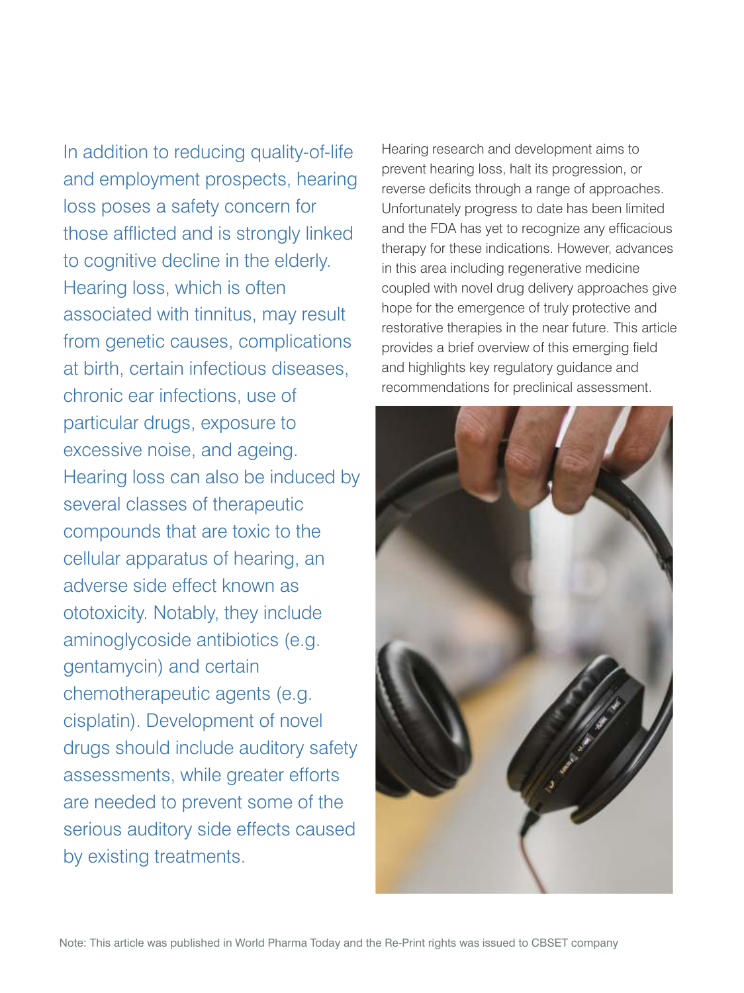In addition to reducing quality-of-life and employment prospects, hearing loss poses a safety concern for those afflicted and is strongly linked to cognitive decline in the elderly. Hearing loss, which is often associated with tinnitus, may result from genetic causes, complications at birth, certain infectious diseases, chronic ear infections, use of particular drugs, exposure to excessive noise, and ageing. Hearing loss can also be induced by several classes of therapeutic compounds that are toxic to the cellular apparatus of hearing, an adverse side effect known as ototoxicity. Notably, they include aminoglycoside antibiotics (e.g. gentamycin) and certain chemotherapeutic agents (e.g. cisplatin). Development of novel drugs should include auditory safety assessments, while greater efforts are needed to prevent some of the serious auditory side effects caused by existing treatments.

Hearing research and development aims to prevent hearing loss, halt its progression, or reverse deficits through a range of approaches. Unfortunately progress to date has been limited and the FDA has yet to recognize any efficacious therapy for these indications. However, advances in this area including regenerative medicine coupled with novel drug delivery approaches give hope for the emergence of truly protective and restorative therapies in the near future. This article provides a brief overview of this emerging field and highlights key regulatory guidance and recommendations for preclinical assessment.

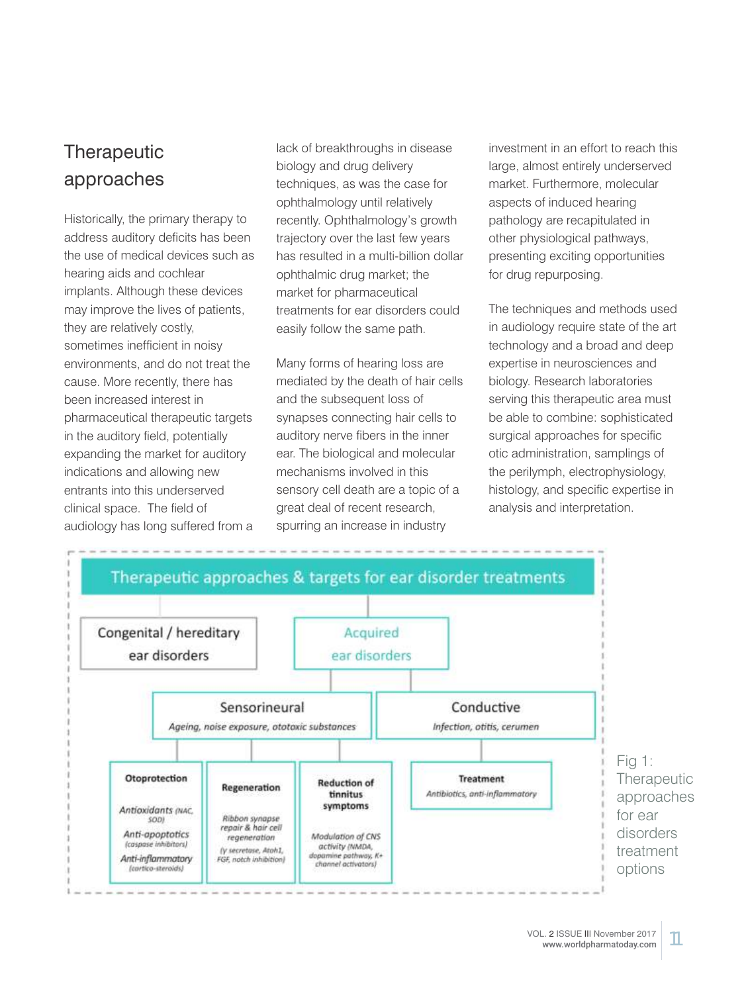# **Therapeutic** approaches

Historically, the primary therapy to address auditory deficits has been the use of medical devices such as hearing aids and cochlear implants. Although these devices may improve the lives of patients, they are relatively costly, sometimes inefficient in noisy environments, and do not treat the cause. More recently, there has been increased interest in pharmaceutical therapeutic targets in the auditory field, potentially expanding the market for auditory indications and allowing new entrants into this underserved clinical space. The field of audiology has long suffered from a

lack of breakthroughs in disease biology and drug delivery techniques, as was the case for ophthalmology until relatively recently. Ophthalmology's growth trajectory over the last few years has resulted in a multi-billion dollar ophthalmic drug market; the market for pharmaceutical treatments for ear disorders could easily follow the same path.

Many forms of hearing loss are mediated by the death of hair cells and the subsequent loss of synapses connecting hair cells to auditory nerve fibers in the inner ear. The biological and molecular mechanisms involved in this sensory cell death are a topic of a great deal of recent research, spurring an increase in industry

investment in an effort to reach this large, almost entirely underserved market. Furthermore, molecular aspects of induced hearing pathology are recapitulated in other physiological pathways, presenting exciting opportunities for drug repurposing.

The techniques and methods used in audiology require state of the art technology and a broad and deep expertise in neurosciences and biology. Research laboratories serving this therapeutic area must be able to combine: sophisticated surgical approaches for specific otic administration, samplings of the perilymph, electrophysiology, histology, and specific expertise in analysis and interpretation.

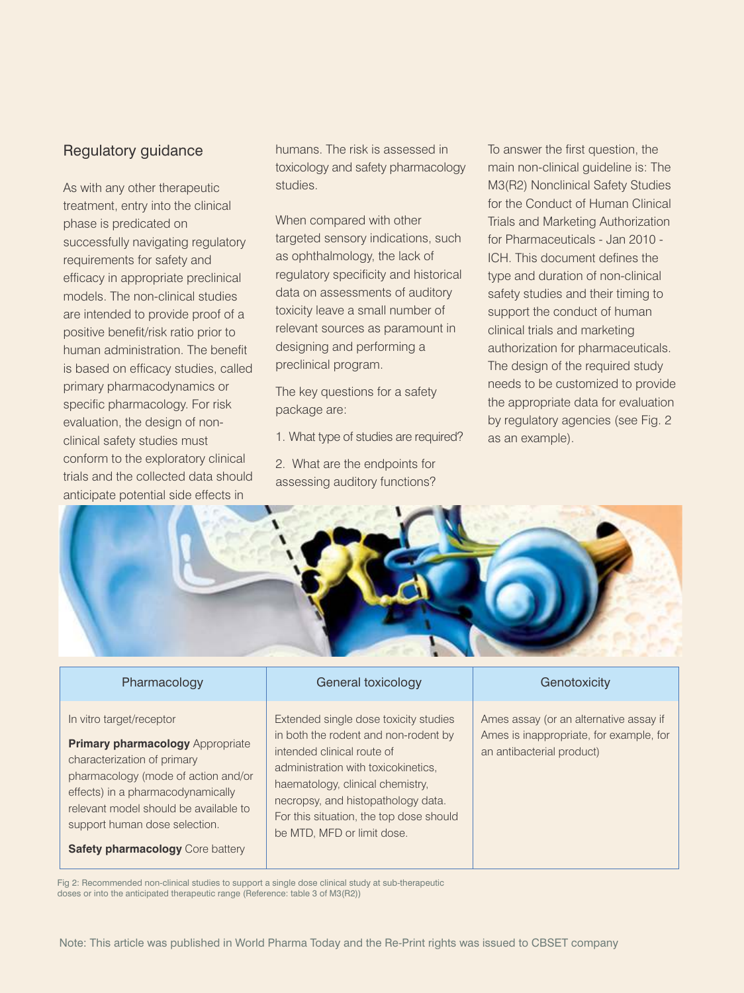### Regulatory guidance

As with any other therapeutic treatment, entry into the clinical phase is predicated on successfully navigating regulatory requirements for safety and efficacy in appropriate preclinical models. The non-clinical studies are intended to provide proof of a positive benefit/risk ratio prior to human administration. The benefit is based on efficacy studies, called primary pharmacodynamics or specific pharmacology. For risk evaluation, the design of nonclinical safety studies must conform to the exploratory clinical trials and the collected data should anticipate potential side effects in

humans. The risk is assessed in toxicology and safety pharmacology studies.

When compared with other targeted sensory indications, such as ophthalmology, the lack of regulatory specificity and historical data on assessments of auditory toxicity leave a small number of relevant sources as paramount in designing and performing a preclinical program.

The key questions for a safety package are:

1. What type of studies are required?

2. What are the endpoints for assessing auditory functions? To answer the first question, the main non-clinical guideline is: The M3(R2) Nonclinical Safety Studies for the Conduct of Human Clinical Trials and Marketing Authorization for Pharmaceuticals - Jan 2010 - ICH. This document defines the type and duration of non-clinical safety studies and their timing to support the conduct of human clinical trials and marketing authorization for pharmaceuticals. The design of the required study needs to be customized to provide the appropriate data for evaluation by regulatory agencies (see Fig. 2 as an example).



In vitro target/receptor

**Primary pharmacology** Appropriate characterization of primary pharmacology (mode of action and/or effects) in a pharmacodynamically relevant model should be available to support human dose selection.

**Safety pharmacology** Core battery

### Pharmacology **General toxicology** General toxicology **Genotoxicity**

Extended single dose toxicity studies in both the rodent and non-rodent by intended clinical route of administration with toxicokinetics, haematology, clinical chemistry, necropsy, and histopathology data. For this situation, the top dose should be MTD, MFD or limit dose.

Ames assay (or an alternative assay if Ames is inappropriate, for example, for an antibacterial product)

Fig 2: Recommended non-clinical studies to support a single dose clinical study at sub-therapeutic doses or into the anticipated therapeutic range (Reference: table 3 of M3(R2))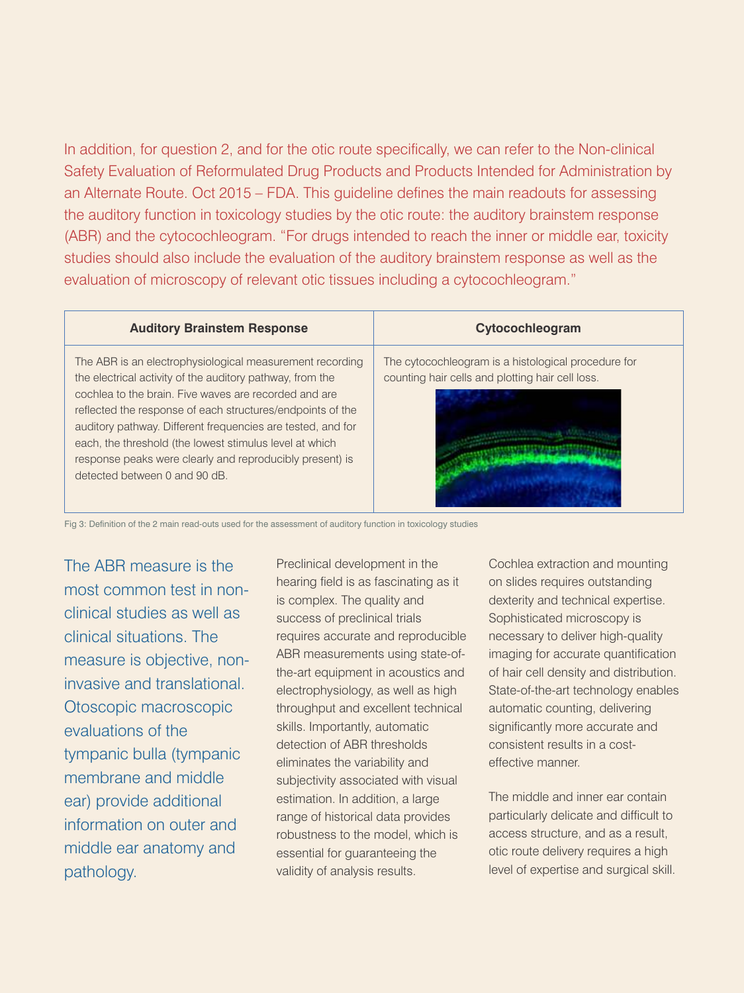In addition, for question 2, and for the otic route specifically, we can refer to the Non-clinical Safety Evaluation of Reformulated Drug Products and Products Intended for Administration by an Alternate Route. Oct 2015 – FDA. This guideline defines the main readouts for assessing the auditory function in toxicology studies by the otic route: the auditory brainstem response (ABR) and the cytocochleogram. "For drugs intended to reach the inner or middle ear, toxicity studies should also include the evaluation of the auditory brainstem response as well as the evaluation of microscopy of relevant otic tissues including a cytocochleogram."

### **Auditory Brainstem Response Cytocochleogram**

The ABR is an electrophysiological measurement recording the electrical activity of the auditory pathway, from the cochlea to the brain. Five waves are recorded and are reflected the response of each structures/endpoints of the auditory pathway. Different frequencies are tested, and for each, the threshold (the lowest stimulus level at which response peaks were clearly and reproducibly present) is detected between 0 and 90 dB.

The cytocochleogram is a histological procedure for counting hair cells and plotting hair cell loss.

Fig 3: Definition of the 2 main read-outs used for the assessment of auditory function in toxicology studies

The ABR measure is the most common test in nonclinical studies as well as clinical situations. The measure is objective, noninvasive and translational. Otoscopic macroscopic evaluations of the tympanic bulla (tympanic membrane and middle ear) provide additional information on outer and middle ear anatomy and pathology.

Preclinical development in the hearing field is as fascinating as it is complex. The quality and success of preclinical trials requires accurate and reproducible ABR measurements using state-ofthe-art equipment in acoustics and electrophysiology, as well as high throughput and excellent technical skills. Importantly, automatic detection of ABR thresholds eliminates the variability and subjectivity associated with visual estimation. In addition, a large range of historical data provides robustness to the model, which is essential for guaranteeing the validity of analysis results.

Cochlea extraction and mounting on slides requires outstanding dexterity and technical expertise. Sophisticated microscopy is necessary to deliver high-quality imaging for accurate quantification of hair cell density and distribution. State-of-the-art technology enables automatic counting, delivering significantly more accurate and consistent results in a costeffective manner.

The middle and inner ear contain particularly delicate and difficult to access structure, and as a result, otic route delivery requires a high level of expertise and surgical skill.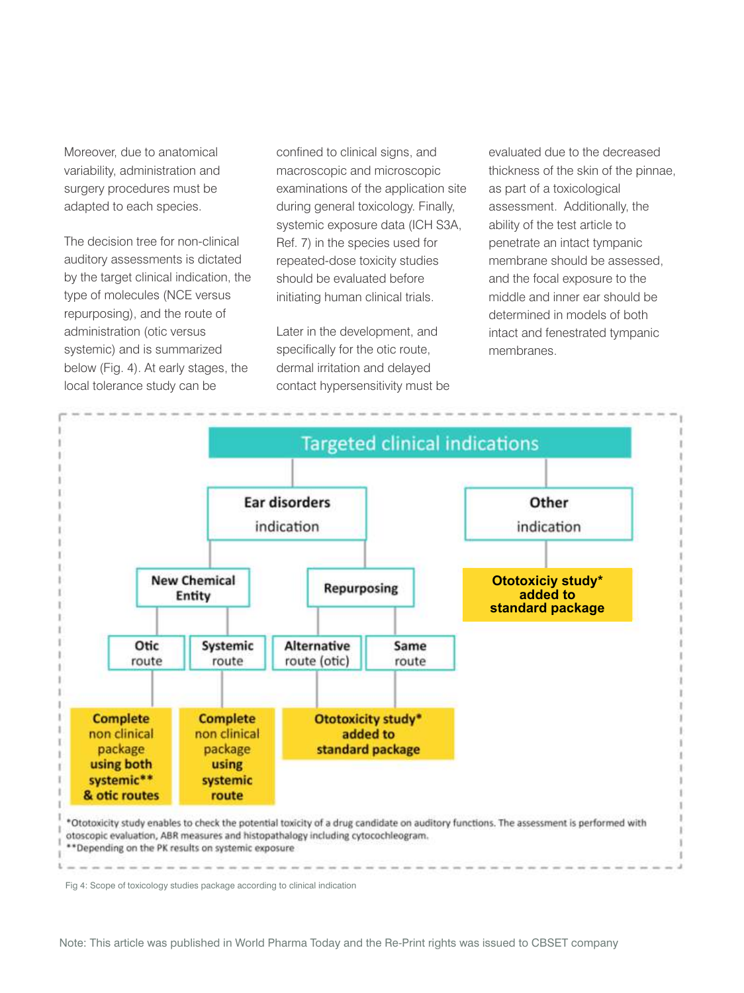Moreover, due to anatomical variability, administration and surgery procedures must be adapted to each species.

The decision tree for non-clinical auditory assessments is dictated by the target clinical indication, the type of molecules (NCE versus repurposing), and the route of administration (otic versus systemic) and is summarized below (Fig. 4). At early stages, the local tolerance study can be

confined to clinical signs, and macroscopic and microscopic examinations of the application site during general toxicology. Finally, systemic exposure data (ICH S3A, Ref. 7) in the species used for repeated-dose toxicity studies should be evaluated before initiating human clinical trials.

Later in the development, and specifically for the otic route, dermal irritation and delayed contact hypersensitivity must be evaluated due to the decreased thickness of the skin of the pinnae, as part of a toxicological assessment. Additionally, the ability of the test article to penetrate an intact tympanic membrane should be assessed, and the focal exposure to the middle and inner ear should be determined in models of both intact and fenestrated tympanic membranes.



Fig 4: Scope of toxicology studies package according to clinical indication